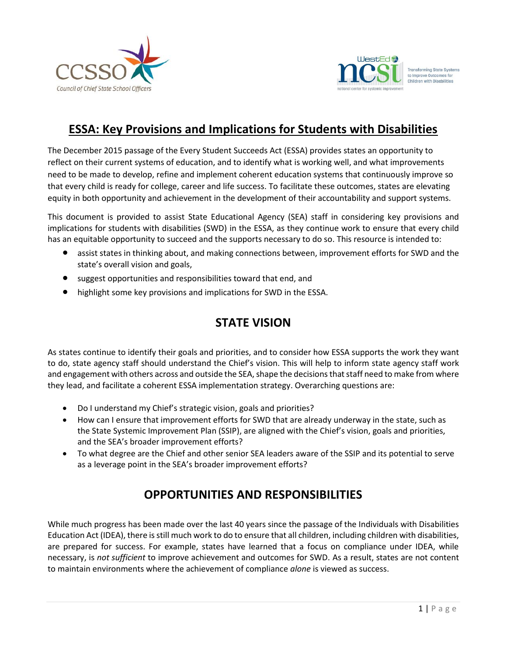



## **ESSA: Key Provisions and Implications for Students with Disabilities**

The December 2015 passage of the Every Student Succeeds Act (ESSA) provides states an opportunity to reflect on their current systems of education, and to identify what is working well, and what improvements need to be made to develop, refine and implement coherent education systems that continuously improve so that every child is ready for college, career and life success. To facilitate these outcomes, states are elevating equity in both opportunity and achievement in the development of their accountability and support systems.

This document is provided to assist State Educational Agency (SEA) staff in considering key provisions and implications for students with disabilities (SWD) in the ESSA, as they continue work to ensure that every child has an equitable opportunity to succeed and the supports necessary to do so. This resource is intended to:

- assist states in thinking about, and making connections between, improvement efforts for SWD and the state's overall vision and goals,
- suggest opportunities and responsibilities toward that end, and
- highlight some key provisions and implications for SWD in the ESSA.

## **STATE VISION**

As states continue to identify their goals and priorities, and to consider how ESSA supports the work they want to do, state agency staff should understand the Chief's vision. This will help to inform state agency staff work and engagement with others across and outside the SEA, shape the decisions that staff need to make from where they lead, and facilitate a coherent ESSA implementation strategy. Overarching questions are:

- Do I understand my Chief's strategic vision, goals and priorities?
- How can I ensure that improvement efforts for SWD that are already underway in the state, such as the State Systemic Improvement Plan (SSIP), are aligned with the Chief's vision, goals and priorities, and the SEA's broader improvement efforts?
- To what degree are the Chief and other senior SEA leaders aware of the SSIP and its potential to serve as a leverage point in the SEA's broader improvement efforts?

# **OPPORTUNITIES AND RESPONSIBILITIES**

While much progress has been made over the last 40 years since the passage of the Individuals with Disabilities Education Act (IDEA), there is still much work to do to ensure that all children, including children with disabilities, are prepared for success. For example, states have learned that a focus on compliance under IDEA, while necessary, is *not sufficient* to improve achievement and outcomes for SWD. As a result, states are not content to maintain environments where the achievement of compliance *alone* is viewed as success.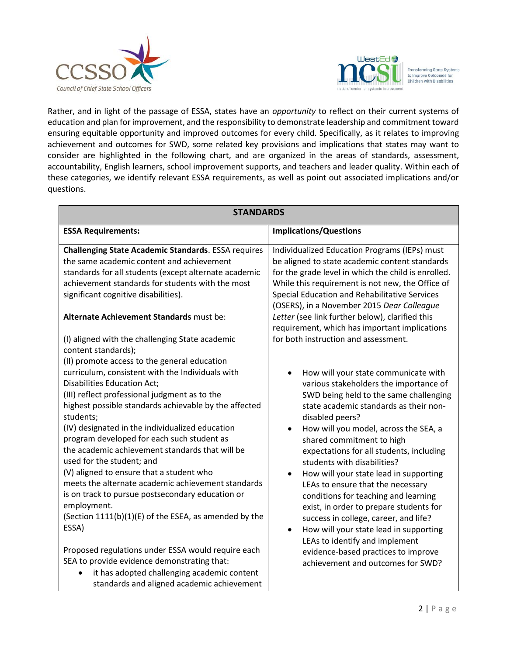



Rather, and in light of the passage of ESSA, states have an *opportunity* to reflect on their current systems of education and plan for improvement, and the responsibility to demonstrate leadership and commitment toward ensuring equitable opportunity and improved outcomes for every child. Specifically, as it relates to improving achievement and outcomes for SWD, some related key provisions and implications that states may want to consider are highlighted in the following chart, and are organized in the areas of standards, assessment, accountability, English learners, school improvement supports, and teachers and leader quality. Within each of these categories, we identify relevant ESSA requirements, as well as point out associated implications and/or questions.

| <b>STANDARDS</b>                                           |                                                     |
|------------------------------------------------------------|-----------------------------------------------------|
| <b>ESSA Requirements:</b>                                  | <b>Implications/Questions</b>                       |
| <b>Challenging State Academic Standards. ESSA requires</b> | Individualized Education Programs (IEPs) must       |
| the same academic content and achievement                  | be aligned to state academic content standards      |
| standards for all students (except alternate academic      | for the grade level in which the child is enrolled. |
| achievement standards for students with the most           | While this requirement is not new, the Office of    |
| significant cognitive disabilities).                       | Special Education and Rehabilitative Services       |
| Alternate Achievement Standards must be:                   | (OSERS), in a November 2015 Dear Colleague          |
| (I) aligned with the challenging State academic            | Letter (see link further below), clarified this     |
| content standards);                                        | requirement, which has important implications       |
| (II) promote access to the general education               | for both instruction and assessment.                |
| curriculum, consistent with the Individuals with           | How will your state communicate with                |
| <b>Disabilities Education Act;</b>                         | various stakeholders the importance of              |
| (III) reflect professional judgment as to the              | SWD being held to the same challenging              |
| highest possible standards achievable by the affected      | state academic standards as their non-              |
| students;                                                  | disabled peers?                                     |
| (IV) designated in the individualized education            | How will you model, across the SEA, a               |
| program developed for each such student as                 | shared commitment to high                           |
| the academic achievement standards that will be            | expectations for all students, including            |
| used for the student; and                                  | students with disabilities?                         |
| (V) aligned to ensure that a student who                   | How will your state lead in supporting              |
| meets the alternate academic achievement standards         | $\bullet$                                           |
| is on track to pursue postsecondary education or           | LEAs to ensure that the necessary                   |
| employment.                                                | conditions for teaching and learning                |
| (Section 1111(b)(1)(E) of the ESEA, as amended by the      | exist, in order to prepare students for             |
| ESSA)                                                      | success in college, career, and life?               |
| Proposed regulations under ESSA would require each         | How will your state lead in supporting              |
| SEA to provide evidence demonstrating that:                | $\bullet$                                           |
| it has adopted challenging academic content                | LEAs to identify and implement                      |
| $\bullet$                                                  | evidence-based practices to improve                 |
| standards and aligned academic achievement                 | achievement and outcomes for SWD?                   |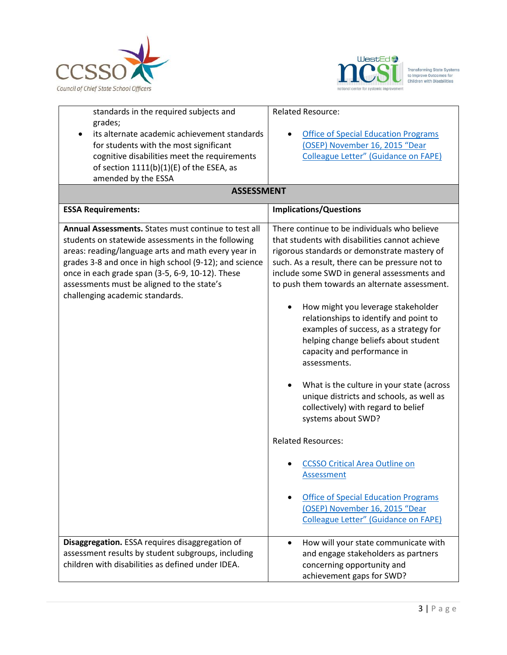



| standards in the required subjects and<br>grades;           | <b>Related Resource:</b>                        |
|-------------------------------------------------------------|-------------------------------------------------|
| its alternate academic achievement standards                | <b>Office of Special Education Programs</b>     |
| for students with the most significant                      | (OSEP) November 16, 2015 "Dear                  |
| cognitive disabilities meet the requirements                | <b>Colleague Letter" (Guidance on FAPE)</b>     |
| of section 1111(b)(1)(E) of the ESEA, as                    |                                                 |
| amended by the ESSA                                         |                                                 |
| <b>ASSESSMENT</b>                                           |                                                 |
| <b>ESSA Requirements:</b>                                   | <b>Implications/Questions</b>                   |
| <b>Annual Assessments.</b> States must continue to test all | There continue to be individuals who believe    |
| students on statewide assessments in the following          | that students with disabilities cannot achieve  |
| areas: reading/language arts and math every year in         | rigorous standards or demonstrate mastery of    |
| grades 3-8 and once in high school (9-12); and science      | such. As a result, there can be pressure not to |
| once in each grade span (3-5, 6-9, 10-12). These            | include some SWD in general assessments and     |
| assessments must be aligned to the state's                  | to push them towards an alternate assessment.   |
| challenging academic standards.                             |                                                 |
|                                                             | How might you leverage stakeholder              |
|                                                             | relationships to identify and point to          |
|                                                             | examples of success, as a strategy for          |
|                                                             | helping change beliefs about student            |
|                                                             | capacity and performance in                     |
|                                                             | assessments.                                    |
|                                                             |                                                 |
|                                                             | What is the culture in your state (across       |
|                                                             | unique districts and schools, as well as        |
|                                                             | collectively) with regard to belief             |
|                                                             | systems about SWD?                              |
|                                                             | <b>Related Resources:</b>                       |
|                                                             | <b>CCSSO Critical Area Outline on</b>           |
|                                                             | <b>Assessment</b>                               |
|                                                             |                                                 |
|                                                             | <b>Office of Special Education Programs</b>     |
|                                                             | (OSEP) November 16, 2015 "Dear                  |
|                                                             | <b>Colleague Letter" (Guidance on FAPE)</b>     |
|                                                             |                                                 |
| Disaggregation. ESSA requires disaggregation of             | How will your state communicate with            |
| assessment results by student subgroups, including          | and engage stakeholders as partners             |
| children with disabilities as defined under IDEA.           | concerning opportunity and                      |
|                                                             | achievement gaps for SWD?                       |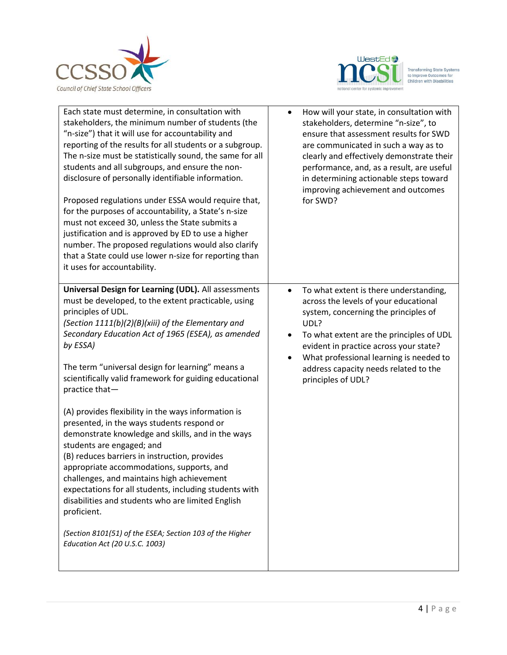



| Each state must determine, in consultation with<br>stakeholders, the minimum number of students (the<br>"n-size") that it will use for accountability and                                                                                                                                                                                                                                                                                                     | How will your state, in consultation with<br>$\bullet$<br>stakeholders, determine "n-size", to<br>ensure that assessment results for SWD                                                                       |
|---------------------------------------------------------------------------------------------------------------------------------------------------------------------------------------------------------------------------------------------------------------------------------------------------------------------------------------------------------------------------------------------------------------------------------------------------------------|----------------------------------------------------------------------------------------------------------------------------------------------------------------------------------------------------------------|
| reporting of the results for all students or a subgroup.<br>The n-size must be statistically sound, the same for all<br>students and all subgroups, and ensure the non-<br>disclosure of personally identifiable information.                                                                                                                                                                                                                                 | are communicated in such a way as to<br>clearly and effectively demonstrate their<br>performance, and, as a result, are useful<br>in determining actionable steps toward<br>improving achievement and outcomes |
| Proposed regulations under ESSA would require that,<br>for the purposes of accountability, a State's n-size<br>must not exceed 30, unless the State submits a<br>justification and is approved by ED to use a higher<br>number. The proposed regulations would also clarify<br>that a State could use lower n-size for reporting than<br>it uses for accountability.                                                                                          | for SWD?                                                                                                                                                                                                       |
| <b>Universal Design for Learning (UDL).</b> All assessments<br>must be developed, to the extent practicable, using<br>principles of UDL.<br>(Section 1111(b)(2)(B)(xiii) of the Elementary and<br>Secondary Education Act of 1965 (ESEA), as amended                                                                                                                                                                                                          | To what extent is there understanding,<br>$\bullet$<br>across the levels of your educational<br>system, concerning the principles of<br>UDL?<br>To what extent are the principles of UDL<br>$\bullet$          |
| by ESSA)<br>The term "universal design for learning" means a<br>scientifically valid framework for guiding educational<br>practice that-                                                                                                                                                                                                                                                                                                                      | evident in practice across your state?<br>What professional learning is needed to<br>address capacity needs related to the<br>principles of UDL?                                                               |
| (A) provides flexibility in the ways information is<br>presented, in the ways students respond or<br>demonstrate knowledge and skills, and in the ways<br>students are engaged; and<br>(B) reduces barriers in instruction, provides<br>appropriate accommodations, supports, and<br>challenges, and maintains high achievement<br>expectations for all students, including students with<br>disabilities and students who are limited English<br>proficient. |                                                                                                                                                                                                                |
| (Section 8101(51) of the ESEA; Section 103 of the Higher<br>Education Act (20 U.S.C. 1003)                                                                                                                                                                                                                                                                                                                                                                    |                                                                                                                                                                                                                |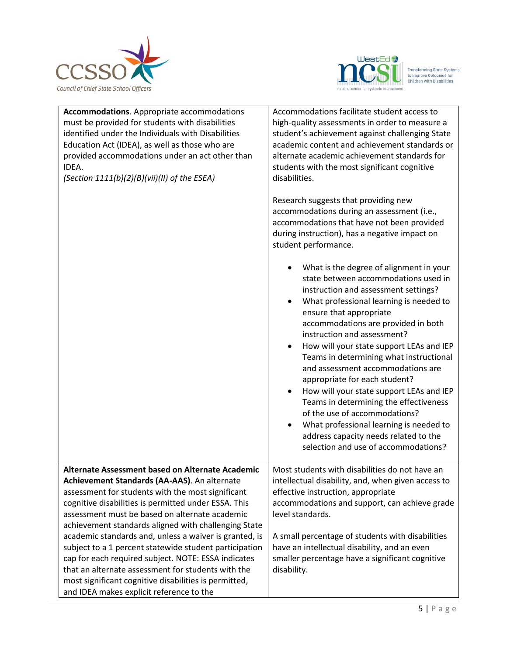

 $\overline{a}$ 



| <b>Accommodations.</b> Appropriate accommodations<br>must be provided for students with disabilities<br>identified under the Individuals with Disabilities<br>Education Act (IDEA), as well as those who are<br>provided accommodations under an act other than<br>IDEA.<br>(Section 1111(b)(2)(B)(vii)(II) of the ESEA) | Accommodations facilitate student access to<br>high-quality assessments in order to measure a<br>student's achievement against challenging State<br>academic content and achievement standards or<br>alternate academic achievement standards for<br>students with the most significant cognitive<br>disabilities.<br>Research suggests that providing new<br>accommodations during an assessment (i.e.,<br>accommodations that have not been provided<br>during instruction), has a negative impact on<br>student performance.<br>What is the degree of alignment in your<br>state between accommodations used in<br>instruction and assessment settings?<br>What professional learning is needed to<br>ensure that appropriate<br>accommodations are provided in both<br>instruction and assessment?<br>How will your state support LEAs and IEP<br>Teams in determining what instructional<br>and assessment accommodations are<br>appropriate for each student?<br>How will your state support LEAs and IEP<br>Teams in determining the effectiveness<br>of the use of accommodations?<br>What professional learning is needed to<br>address capacity needs related to the<br>selection and use of accommodations? |
|--------------------------------------------------------------------------------------------------------------------------------------------------------------------------------------------------------------------------------------------------------------------------------------------------------------------------|------------------------------------------------------------------------------------------------------------------------------------------------------------------------------------------------------------------------------------------------------------------------------------------------------------------------------------------------------------------------------------------------------------------------------------------------------------------------------------------------------------------------------------------------------------------------------------------------------------------------------------------------------------------------------------------------------------------------------------------------------------------------------------------------------------------------------------------------------------------------------------------------------------------------------------------------------------------------------------------------------------------------------------------------------------------------------------------------------------------------------------------------------------------------------------------------------------------------|
| Alternate Assessment based on Alternate Academic                                                                                                                                                                                                                                                                         | Most students with disabilities do not have an                                                                                                                                                                                                                                                                                                                                                                                                                                                                                                                                                                                                                                                                                                                                                                                                                                                                                                                                                                                                                                                                                                                                                                         |
| Achievement Standards (AA-AAS). An alternate                                                                                                                                                                                                                                                                             | intellectual disability, and, when given access to                                                                                                                                                                                                                                                                                                                                                                                                                                                                                                                                                                                                                                                                                                                                                                                                                                                                                                                                                                                                                                                                                                                                                                     |
| assessment for students with the most significant<br>cognitive disabilities is permitted under ESSA. This                                                                                                                                                                                                                | effective instruction, appropriate<br>accommodations and support, can achieve grade                                                                                                                                                                                                                                                                                                                                                                                                                                                                                                                                                                                                                                                                                                                                                                                                                                                                                                                                                                                                                                                                                                                                    |
| assessment must be based on alternate academic                                                                                                                                                                                                                                                                           | level standards.                                                                                                                                                                                                                                                                                                                                                                                                                                                                                                                                                                                                                                                                                                                                                                                                                                                                                                                                                                                                                                                                                                                                                                                                       |
| achievement standards aligned with challenging State                                                                                                                                                                                                                                                                     |                                                                                                                                                                                                                                                                                                                                                                                                                                                                                                                                                                                                                                                                                                                                                                                                                                                                                                                                                                                                                                                                                                                                                                                                                        |
| academic standards and, unless a waiver is granted, is                                                                                                                                                                                                                                                                   | A small percentage of students with disabilities                                                                                                                                                                                                                                                                                                                                                                                                                                                                                                                                                                                                                                                                                                                                                                                                                                                                                                                                                                                                                                                                                                                                                                       |
| subject to a 1 percent statewide student participation<br>cap for each required subject. NOTE: ESSA indicates                                                                                                                                                                                                            | have an intellectual disability, and an even<br>smaller percentage have a significant cognitive                                                                                                                                                                                                                                                                                                                                                                                                                                                                                                                                                                                                                                                                                                                                                                                                                                                                                                                                                                                                                                                                                                                        |
| that an alternate assessment for students with the<br>most significant cognitive disabilities is permitted,<br>and IDEA makes explicit reference to the                                                                                                                                                                  | disability.                                                                                                                                                                                                                                                                                                                                                                                                                                                                                                                                                                                                                                                                                                                                                                                                                                                                                                                                                                                                                                                                                                                                                                                                            |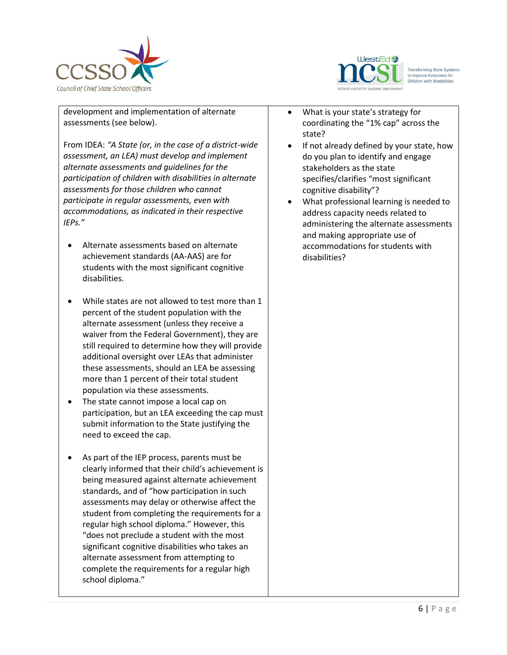



 $\overline{a}$ development and implementation of alternate assessments (see below).

From IDEA: *"A State (or, in the case of a district-wide assessment, an LEA) must develop and implement alternate assessments and guidelines for the participation of children with disabilities in alternate assessments for those children who cannot participate in regular assessments, even with accommodations, as indicated in their respective IEPs."*

- Alternate assessments based on alternate achievement standards (AA-AAS) are for students with the most significant cognitive disabilities.
- While states are not allowed to test more than 1 percent of the student population with the alternate assessment (unless they receive a waiver from the Federal Government), they are still required to determine how they will provide additional oversight over LEAs that administer these assessments, should an LEA be assessing more than 1 percent of their total student population via these assessments.
- The state cannot impose a local cap on participation, but an LEA exceeding the cap must submit information to the State justifying the need to exceed the cap.
- As part of the IEP process, parents must be clearly informed that their child's achievement is being measured against alternate achievement standards, and of "how participation in such assessments may delay or otherwise affect the student from completing the requirements for a regular high school diploma." However, this "does not preclude a student with the most significant cognitive disabilities who takes an alternate assessment from attempting to complete the requirements for a regular high school diploma."
- What is your state's strategy for coordinating the "1% cap" across the state?
- If not already defined by your state, how do you plan to identify and engage stakeholders as the state specifies/clarifies "most significant cognitive disability"?
- What professional learning is needed to address capacity needs related to administering the alternate assessments and making appropriate use of accommodations for students with disabilities?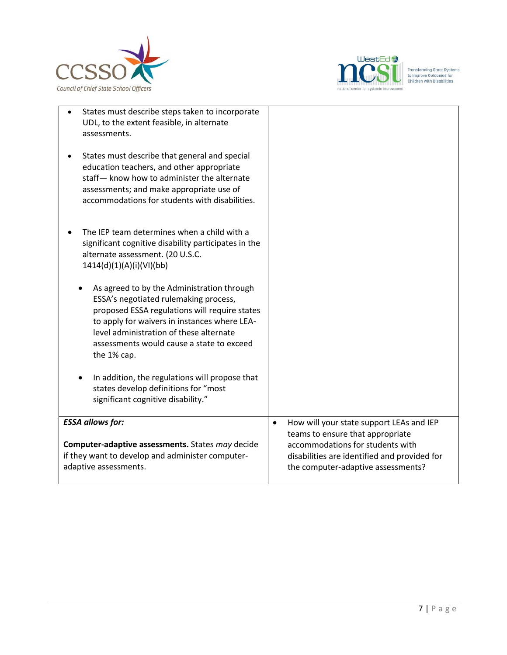



| States must describe steps taken to incorporate<br>UDL, to the extent feasible, in alternate<br>assessments.                                                                                                                                                                                |                                                                                                                                                            |
|---------------------------------------------------------------------------------------------------------------------------------------------------------------------------------------------------------------------------------------------------------------------------------------------|------------------------------------------------------------------------------------------------------------------------------------------------------------|
| States must describe that general and special<br>education teachers, and other appropriate<br>staff- know how to administer the alternate<br>assessments; and make appropriate use of<br>accommodations for students with disabilities.                                                     |                                                                                                                                                            |
| The IEP team determines when a child with a<br>significant cognitive disability participates in the<br>alternate assessment. (20 U.S.C.<br>1414(d)(1)(A)(i)(VI)(bb)                                                                                                                         |                                                                                                                                                            |
| As agreed to by the Administration through<br>ESSA's negotiated rulemaking process,<br>proposed ESSA regulations will require states<br>to apply for waivers in instances where LEA-<br>level administration of these alternate<br>assessments would cause a state to exceed<br>the 1% cap. |                                                                                                                                                            |
| In addition, the regulations will propose that<br>states develop definitions for "most<br>significant cognitive disability."                                                                                                                                                                |                                                                                                                                                            |
| <b>ESSA allows for:</b>                                                                                                                                                                                                                                                                     | How will your state support LEAs and IEP<br>$\bullet$                                                                                                      |
| Computer-adaptive assessments. States may decide<br>if they want to develop and administer computer-<br>adaptive assessments.                                                                                                                                                               | teams to ensure that appropriate<br>accommodations for students with<br>disabilities are identified and provided for<br>the computer-adaptive assessments? |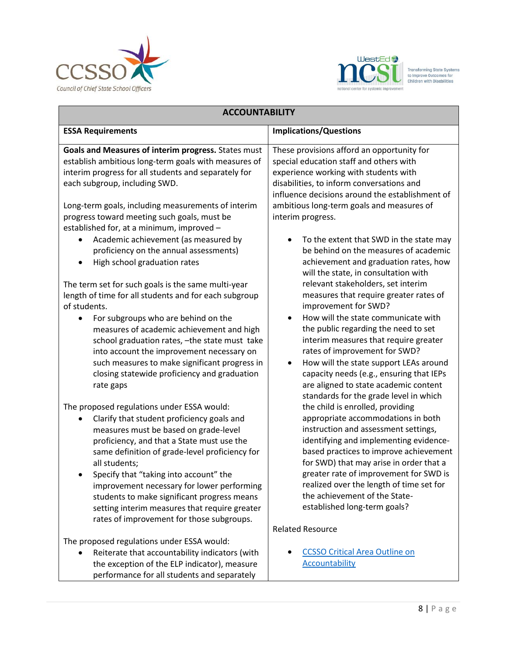



| <b>ACCOUNTABILITY</b>                                                                                                                                                                                                                                                                                                                                                                                                                                                                   |                                                                                                                                                                                                                                                                                                                                                                                                                                                                       |
|-----------------------------------------------------------------------------------------------------------------------------------------------------------------------------------------------------------------------------------------------------------------------------------------------------------------------------------------------------------------------------------------------------------------------------------------------------------------------------------------|-----------------------------------------------------------------------------------------------------------------------------------------------------------------------------------------------------------------------------------------------------------------------------------------------------------------------------------------------------------------------------------------------------------------------------------------------------------------------|
| <b>ESSA Requirements</b>                                                                                                                                                                                                                                                                                                                                                                                                                                                                | <b>Implications/Questions</b>                                                                                                                                                                                                                                                                                                                                                                                                                                         |
| Goals and Measures of interim progress. States must<br>establish ambitious long-term goals with measures of<br>interim progress for all students and separately for<br>each subgroup, including SWD.<br>Long-term goals, including measurements of interim<br>progress toward meeting such goals, must be<br>established for, at a minimum, improved -<br>Academic achievement (as measured by<br>proficiency on the annual assessments)<br>High school graduation rates                | These provisions afford an opportunity for<br>special education staff and others with<br>experience working with students with<br>disabilities, to inform conversations and<br>influence decisions around the establishment of<br>ambitious long-term goals and measures of<br>interim progress.<br>To the extent that SWD in the state may<br>be behind on the measures of academic<br>achievement and graduation rates, how<br>will the state, in consultation with |
| The term set for such goals is the same multi-year<br>length of time for all students and for each subgroup<br>of students.<br>For subgroups who are behind on the<br>measures of academic achievement and high<br>school graduation rates, -the state must take<br>into account the improvement necessary on<br>such measures to make significant progress in<br>closing statewide proficiency and graduation<br>rate gaps                                                             | relevant stakeholders, set interim<br>measures that require greater rates of<br>improvement for SWD?<br>How will the state communicate with<br>the public regarding the need to set<br>interim measures that require greater<br>rates of improvement for SWD?<br>How will the state support LEAs around<br>$\bullet$<br>capacity needs (e.g., ensuring that IEPs<br>are aligned to state academic content<br>standards for the grade level in which                   |
| The proposed regulations under ESSA would:<br>Clarify that student proficiency goals and<br>measures must be based on grade-level<br>proficiency, and that a State must use the<br>same definition of grade-level proficiency for<br>all students;<br>Specify that "taking into account" the<br>improvement necessary for lower performing<br>students to make significant progress means<br>setting interim measures that require greater<br>rates of improvement for those subgroups. | the child is enrolled, providing<br>appropriate accommodations in both<br>instruction and assessment settings,<br>identifying and implementing evidence-<br>based practices to improve achievement<br>for SWD) that may arise in order that a<br>greater rate of improvement for SWD is<br>realized over the length of time set for<br>the achievement of the State-<br>established long-term goals?                                                                  |
| The proposed regulations under ESSA would:<br>Reiterate that accountability indicators (with<br>the exception of the ELP indicator), measure<br>performance for all students and separately                                                                                                                                                                                                                                                                                             | <b>Related Resource</b><br><b>CCSSO Critical Area Outline on</b><br><b>Accountability</b>                                                                                                                                                                                                                                                                                                                                                                             |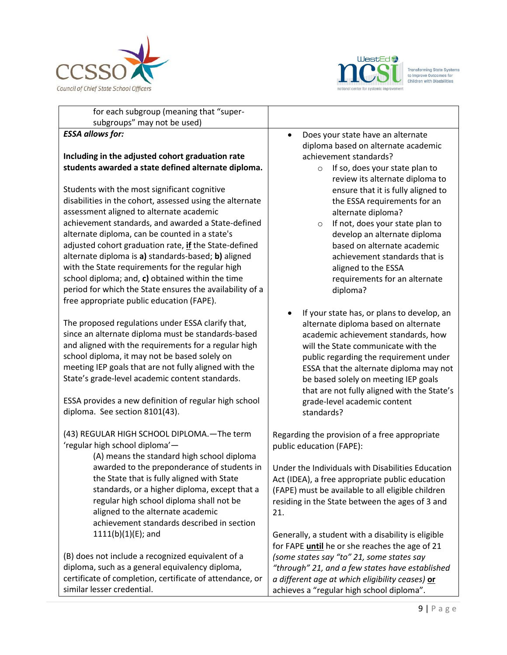



| for each subgroup (meaning that "super-                                                                                                                                                                                                                                                                                                                                                                                                                                                                                                          |                                                                                                                                                                                                                                                                                                                                                                                            |
|--------------------------------------------------------------------------------------------------------------------------------------------------------------------------------------------------------------------------------------------------------------------------------------------------------------------------------------------------------------------------------------------------------------------------------------------------------------------------------------------------------------------------------------------------|--------------------------------------------------------------------------------------------------------------------------------------------------------------------------------------------------------------------------------------------------------------------------------------------------------------------------------------------------------------------------------------------|
| subgroups" may not be used)                                                                                                                                                                                                                                                                                                                                                                                                                                                                                                                      |                                                                                                                                                                                                                                                                                                                                                                                            |
| <b>ESSA allows for:</b>                                                                                                                                                                                                                                                                                                                                                                                                                                                                                                                          | Does your state have an alternate<br>$\bullet$<br>diploma based on alternate academic                                                                                                                                                                                                                                                                                                      |
| Including in the adjusted cohort graduation rate                                                                                                                                                                                                                                                                                                                                                                                                                                                                                                 | achievement standards?                                                                                                                                                                                                                                                                                                                                                                     |
| students awarded a state defined alternate diploma.                                                                                                                                                                                                                                                                                                                                                                                                                                                                                              | If so, does your state plan to<br>$\circ$                                                                                                                                                                                                                                                                                                                                                  |
| Students with the most significant cognitive<br>disabilities in the cohort, assessed using the alternate<br>assessment aligned to alternate academic<br>achievement standards, and awarded a State-defined<br>alternate diploma, can be counted in a state's<br>adjusted cohort graduation rate, if the State-defined<br>alternate diploma is a) standards-based; b) aligned<br>with the State requirements for the regular high<br>school diploma; and, c) obtained within the time<br>period for which the State ensures the availability of a | review its alternate diploma to<br>ensure that it is fully aligned to<br>the ESSA requirements for an<br>alternate diploma?<br>If not, does your state plan to<br>$\circ$<br>develop an alternate diploma<br>based on alternate academic<br>achievement standards that is<br>aligned to the ESSA<br>requirements for an alternate<br>diploma?                                              |
| free appropriate public education (FAPE).                                                                                                                                                                                                                                                                                                                                                                                                                                                                                                        |                                                                                                                                                                                                                                                                                                                                                                                            |
| The proposed regulations under ESSA clarify that,<br>since an alternate diploma must be standards-based<br>and aligned with the requirements for a regular high<br>school diploma, it may not be based solely on<br>meeting IEP goals that are not fully aligned with the<br>State's grade-level academic content standards.<br>ESSA provides a new definition of regular high school<br>diploma. See section 8101(43).                                                                                                                          | If your state has, or plans to develop, an<br>alternate diploma based on alternate<br>academic achievement standards, how<br>will the State communicate with the<br>public regarding the requirement under<br>ESSA that the alternate diploma may not<br>be based solely on meeting IEP goals<br>that are not fully aligned with the State's<br>grade-level academic content<br>standards? |
| (43) REGULAR HIGH SCHOOL DIPLOMA. - The term<br>'regular high school diploma'-<br>(A) means the standard high school diploma<br>awarded to the preponderance of students in<br>the State that is fully aligned with State<br>standards, or a higher diploma, except that a<br>regular high school diploma shall not be<br>aligned to the alternate academic<br>achievement standards described in section<br>$1111(b)(1)(E)$ ; and                                                                                                               | Regarding the provision of a free appropriate<br>public education (FAPE):<br>Under the Individuals with Disabilities Education<br>Act (IDEA), a free appropriate public education<br>(FAPE) must be available to all eligible children<br>residing in the State between the ages of 3 and<br>21.<br>Generally, a student with a disability is eligible                                     |
| (B) does not include a recognized equivalent of a<br>diploma, such as a general equivalency diploma,<br>certificate of completion, certificate of attendance, or<br>similar lesser credential.                                                                                                                                                                                                                                                                                                                                                   | for FAPE until he or she reaches the age of 21<br>(some states say "to" 21, some states say<br>"through" 21, and a few states have established<br>a different age at which eligibility ceases) or<br>achieves a "regular high school diploma".                                                                                                                                             |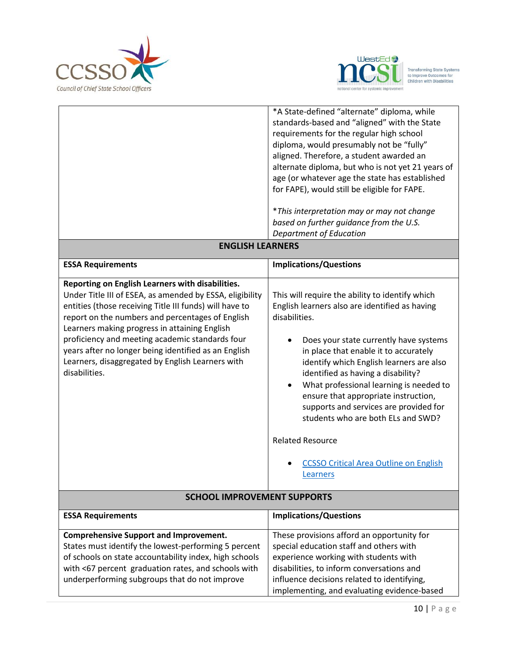



|                                                                                                                                                                                                                                                                                                                                                                                                                                                              | *A State-defined "alternate" diploma, while<br>standards-based and "aligned" with the State<br>requirements for the regular high school<br>diploma, would presumably not be "fully"<br>aligned. Therefore, a student awarded an<br>alternate diploma, but who is not yet 21 years of<br>age (or whatever age the state has established<br>for FAPE), would still be eligible for FAPE.<br>*This interpretation may or may not change<br>based on further guidance from the U.S.<br>Department of Education                                         |
|--------------------------------------------------------------------------------------------------------------------------------------------------------------------------------------------------------------------------------------------------------------------------------------------------------------------------------------------------------------------------------------------------------------------------------------------------------------|----------------------------------------------------------------------------------------------------------------------------------------------------------------------------------------------------------------------------------------------------------------------------------------------------------------------------------------------------------------------------------------------------------------------------------------------------------------------------------------------------------------------------------------------------|
| <b>ENGLISH LEARNERS</b>                                                                                                                                                                                                                                                                                                                                                                                                                                      |                                                                                                                                                                                                                                                                                                                                                                                                                                                                                                                                                    |
| <b>ESSA Requirements</b>                                                                                                                                                                                                                                                                                                                                                                                                                                     | <b>Implications/Questions</b>                                                                                                                                                                                                                                                                                                                                                                                                                                                                                                                      |
| Reporting on English Learners with disabilities.<br>Under Title III of ESEA, as amended by ESSA, eligibility<br>entities (those receiving Title III funds) will have to<br>report on the numbers and percentages of English<br>Learners making progress in attaining English<br>proficiency and meeting academic standards four<br>years after no longer being identified as an English<br>Learners, disaggregated by English Learners with<br>disabilities. | This will require the ability to identify which<br>English learners also are identified as having<br>disabilities.<br>Does your state currently have systems<br>in place that enable it to accurately<br>identify which English learners are also<br>identified as having a disability?<br>What professional learning is needed to<br>ensure that appropriate instruction,<br>supports and services are provided for<br>students who are both ELs and SWD?<br><b>Related Resource</b><br><b>CCSSO Critical Area Outline on English</b><br>Learners |
| <b>SCHOOL IMPROVEMENT SUPPORTS</b>                                                                                                                                                                                                                                                                                                                                                                                                                           |                                                                                                                                                                                                                                                                                                                                                                                                                                                                                                                                                    |
| <b>ESSA Requirements</b>                                                                                                                                                                                                                                                                                                                                                                                                                                     | <b>Implications/Questions</b>                                                                                                                                                                                                                                                                                                                                                                                                                                                                                                                      |
| <b>Comprehensive Support and Improvement.</b><br>States must identify the lowest-performing 5 percent<br>of schools on state accountability index, high schools<br>with <67 percent graduation rates, and schools with<br>underperforming subgroups that do not improve                                                                                                                                                                                      | These provisions afford an opportunity for<br>special education staff and others with<br>experience working with students with<br>disabilities, to inform conversations and<br>influence decisions related to identifying,<br>implementing, and evaluating evidence-based                                                                                                                                                                                                                                                                          |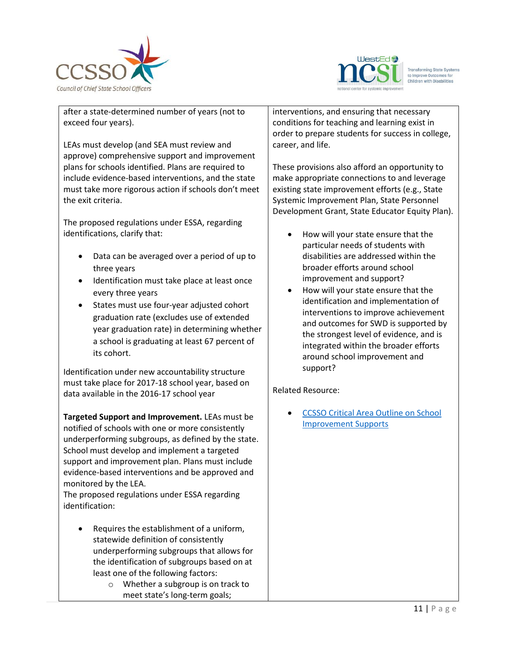



 $\overline{a}$ after a state-determined number of years (not to exceed four years).

LEAs must develop (and SEA must review and approve) comprehensive support and improvement plans for schools identified. Plans are required to include evidence-based interventions, and the state must take more rigorous action if schools don't meet the exit criteria.

The proposed regulations under ESSA, regarding identifications, clarify that:

- Data can be averaged over a period of up to three years
- Identification must take place at least once every three years
- States must use four-year adjusted cohort graduation rate (excludes use of extended year graduation rate) in determining whether a school is graduating at least 67 percent of its cohort.

Identification under new accountability structure must take place for 2017-18 school year, based on data available in the 2016-17 school year

**Targeted Support and Improvement.** LEAs must be notified of schools with one or more consistently underperforming subgroups, as defined by the state. School must develop and implement a targeted support and improvement plan. Plans must include evidence-based interventions and be approved and monitored by the LEA.

The proposed regulations under ESSA regarding identification:

- Requires the establishment of a uniform, statewide definition of consistently underperforming subgroups that allows for the identification of subgroups based on at least one of the following factors:
	- o Whether a subgroup is on track to meet state's long-term goals;

interventions, and ensuring that necessary conditions for teaching and learning exist in order to prepare students for success in college, career, and life.

These provisions also afford an opportunity to make appropriate connections to and leverage existing state improvement efforts (e.g., State Systemic Improvement Plan, State Personnel Development Grant, State Educator Equity Plan).

- How will your state ensure that the particular needs of students with disabilities are addressed within the broader efforts around school improvement and support?
- How will your state ensure that the identification and implementation of interventions to improve achievement and outcomes for SWD is supported by the strongest level of evidence, and is integrated within the broader efforts around school improvement and support?

Related Resource:

 [CCSSO Critical Area Outline on School](http://www.ccsso.org/Documents/2016/ESSA/CCSSOCriticalAreaOutline_SchoolImprovementSupports.pdf)  [Improvement Supports](http://www.ccsso.org/Documents/2016/ESSA/CCSSOCriticalAreaOutline_SchoolImprovementSupports.pdf)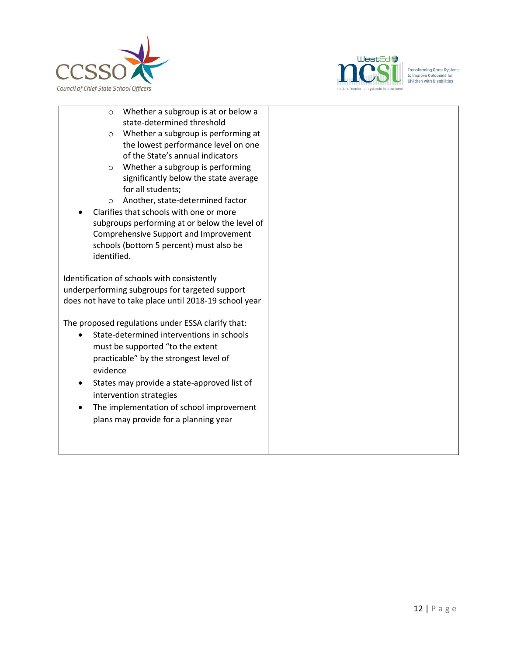



- $\overline{a}$ o Whether a subgroup is at or below a state-determined threshold o Whether a subgroup is performing at the lowest performance level on one
	- of the State's annual indicators
	- o Whether a subgroup is performing significantly below the state average for all students;
	- o Another, state-determined factor
- Clarifies that schools with one or more subgroups performing at or below the level of Comprehensive Support and Improvement schools (bottom 5 percent) must also be identified.

Identification of schools with consistently underperforming subgroups for targeted support does not have to take place until 2018-19 school year

The proposed regulations under ESSA clarify that:

- State-determined interventions in schools must be supported "to the extent practicable" by the strongest level of evidence
- States may provide a state-approved list of intervention strategies
- The implementation of school improvement plans may provide for a planning year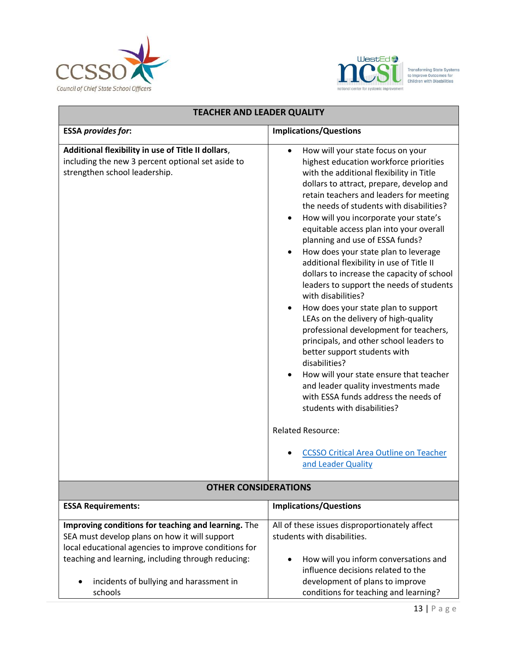



| <b>TEACHER AND LEADER QUALITY</b>                                                                                                                                                                                                                                        |                                                                                                                                                                                                                                                                                                                                                                                                                                                                                                                                                                                                                                                                                                                                                                                                                                                                                                                                                                                                                                                                                      |
|--------------------------------------------------------------------------------------------------------------------------------------------------------------------------------------------------------------------------------------------------------------------------|--------------------------------------------------------------------------------------------------------------------------------------------------------------------------------------------------------------------------------------------------------------------------------------------------------------------------------------------------------------------------------------------------------------------------------------------------------------------------------------------------------------------------------------------------------------------------------------------------------------------------------------------------------------------------------------------------------------------------------------------------------------------------------------------------------------------------------------------------------------------------------------------------------------------------------------------------------------------------------------------------------------------------------------------------------------------------------------|
| <b>ESSA provides for:</b>                                                                                                                                                                                                                                                | <b>Implications/Questions</b>                                                                                                                                                                                                                                                                                                                                                                                                                                                                                                                                                                                                                                                                                                                                                                                                                                                                                                                                                                                                                                                        |
| Additional flexibility in use of Title II dollars,<br>including the new 3 percent optional set aside to<br>strengthen school leadership.                                                                                                                                 | How will your state focus on your<br>$\bullet$<br>highest education workforce priorities<br>with the additional flexibility in Title<br>dollars to attract, prepare, develop and<br>retain teachers and leaders for meeting<br>the needs of students with disabilities?<br>How will you incorporate your state's<br>equitable access plan into your overall<br>planning and use of ESSA funds?<br>How does your state plan to leverage<br>additional flexibility in use of Title II<br>dollars to increase the capacity of school<br>leaders to support the needs of students<br>with disabilities?<br>How does your state plan to support<br>LEAs on the delivery of high-quality<br>professional development for teachers,<br>principals, and other school leaders to<br>better support students with<br>disabilities?<br>How will your state ensure that teacher<br>and leader quality investments made<br>with ESSA funds address the needs of<br>students with disabilities?<br><b>Related Resource:</b><br><b>CCSSO Critical Area Outline on Teacher</b><br>and Leader Quality |
|                                                                                                                                                                                                                                                                          |                                                                                                                                                                                                                                                                                                                                                                                                                                                                                                                                                                                                                                                                                                                                                                                                                                                                                                                                                                                                                                                                                      |
| <b>OTHER CONSIDERATIONS</b>                                                                                                                                                                                                                                              |                                                                                                                                                                                                                                                                                                                                                                                                                                                                                                                                                                                                                                                                                                                                                                                                                                                                                                                                                                                                                                                                                      |
| <b>ESSA Requirements:</b>                                                                                                                                                                                                                                                | <b>Implications/Questions</b>                                                                                                                                                                                                                                                                                                                                                                                                                                                                                                                                                                                                                                                                                                                                                                                                                                                                                                                                                                                                                                                        |
| Improving conditions for teaching and learning. The<br>SEA must develop plans on how it will support<br>local educational agencies to improve conditions for<br>teaching and learning, including through reducing:<br>incidents of bullying and harassment in<br>schools | All of these issues disproportionately affect<br>students with disabilities.<br>How will you inform conversations and<br>influence decisions related to the<br>development of plans to improve<br>conditions for teaching and learning?                                                                                                                                                                                                                                                                                                                                                                                                                                                                                                                                                                                                                                                                                                                                                                                                                                              |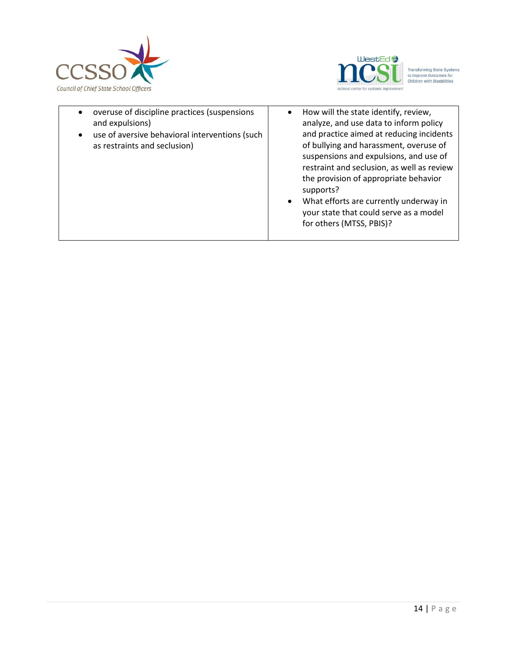



 $\overline{a}$  overuse of discipline practices (suspensions and expulsions) use of aversive behavioral interventions (such as restraints and seclusion) • How will the state identify, review, analyze, and use data to inform policy and practice aimed at reducing incidents of bullying and harassment, overuse of suspensions and expulsions, and use of restraint and seclusion, as well as review the provision of appropriate behavior supports? What efforts are currently underway in your state that could serve as a model for others (MTSS, PBIS)?